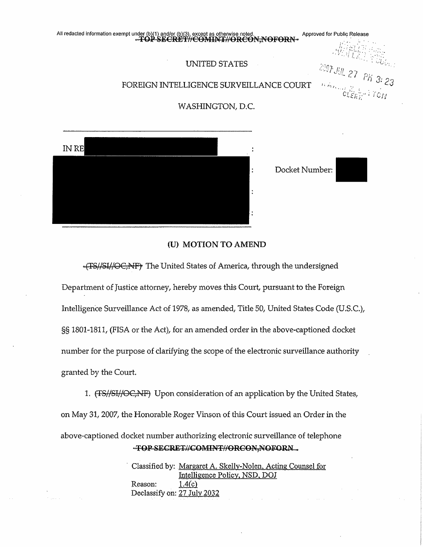

#### **(U) MOTION TO AMEND**

 $-$ (TS//SI//OC $\overrightarrow{N}$ F $\overrightarrow{r}$  The United States of America, through the undersigned

Department of Justice attorney, hereby moves this Court, pursuant to the Foreign Intelligence Surveillance Act of 1978, as amended, Title 50, United States Code (U.S.C.), §§ 1801-1811, (FISA or the Act), for an amended order in the above-captioned docket number for the purpose of clarifying the scope of the electronic surveillance authority granted by the Court.

1. (TS//SI//OC,NF) Upon consideration of an application by the United States, on May 31, 2007, the Honorable Roger Vinson of this Court issued an Order in the above-captioned docket number authorizing electronic surveillance of telephone -TOP-SECRET//COMINT//ORCON-NOFORN...

> Classified by: Margaret A. Skelly-Nolen, Acting Counsel for Intelligence Policy, NSD, DOJ Reason: 1.4(c) Declassify on: 27 July 2032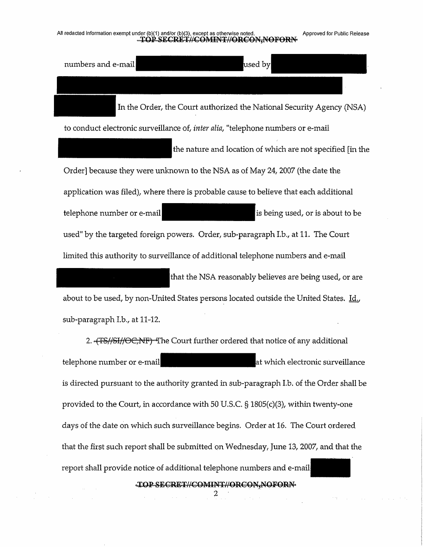### All redacted information exempt under (b)(1) and/or (b)(3), except as otherwise noted. Approved for Public Release<br>
And the COP SECRET//COMINT//ORCON, NOFORN

numbers and e-mail used by In the Order, the Court authorized the National Security Agency (NSA) to conduct electronic surveillance of, *inter alia,* "telephone numbers or e-mail the nature and location of which are not specified [in the Order] because they were unknown to the NSA as of May 24, 2007 (the date the application was filed), where there is probable cause to believe that each additional telephone number or e-mail is being used, or is about to be used" by the targeted foreign powers. Order, sub-paragraph I.b., at 11. The Court limited this authority to surveillance of additional telephone numbers and e-mail that the NSA reasonably believes are being used, or are about to be used, by non-United States persons located outside the United States. Id.,

sub-paragraph Lb., at 11-12.

2. <del>4TS//SI//OC,NF) T</del>he Court further ordered that notice of any additional telephone number or e-mail  $\qquad \qquad$  at which electronic surveillance is directed pursuant to the authority granted in sub-paragraph I.b. of the Order shall be provided to the Court, in accordance with 50 U.S.C. § 1805(c)(3), within twenty-one days of the date on which such surveillance begins. Order at 16. The Court ordered that the first such report shall be submitted on Wednesday, June 13, 2007, and that the report shall provide notice of additional telephone numbers and e-mail

 $\begin{matrix} \textbf{TOPSEERET}\# \textbf{COMINT}\# \textbf{ORCON,} \textbf{NOFORM} \\ 2 \end{matrix}$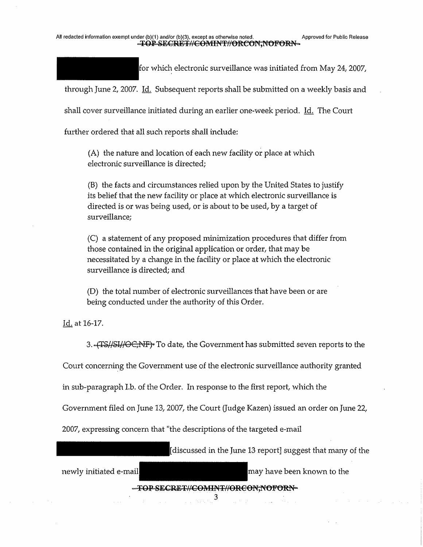for which electronic surveillance was initiated from May 24, 2007,

through June 2, 2007. Id. Subsequent reports shall be submitted on a weekly basis and

shall cover surveillance initiated during an earlier one-week period. Id, The Court

further ordered that all such reports shall include:

(A) the nature and location of each new facility or place at which electronic surveillance is directed;

(B) the facts and circumstances relied upon by the United States to justify its belief that the new facility or place at which electronic surveillance is directed is or was being used, or is about to be used, by a target of surveillance;

(C) a statement of any proposed minimization procedures that differ from those contained in the original application or order, that may be necessitated by a change in the facility or place at which the electronic surveillance is directed; and

(D) the total number of electronic surveillances that have been or are being conducted under the authority of this Order.

Id. at 16-17.

3. HTS//SI//OC/NF). To date, the Government has submitted seven reports to the

Court concerning the Government use of the electronic surveillance authority granted

in sub-paragraph I.b. of the Order, In response to the first report, which the

Government filed on June 13, 2007, the Court (Judge Kazen) issued an order on June 22,

2007, expressing concern that "the descriptions of the targeted e-mail

| discussed in the June 13 report] suggest that many of the |                            |
|-----------------------------------------------------------|----------------------------|
| newly initiated e-mail                                    | may have been known to the |
| -FOP SECRET#COMINT#ORCON, NOFORN-                         |                            |
|                                                           |                            |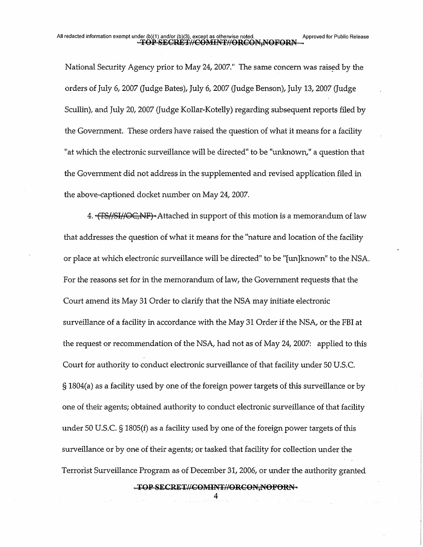National Security Agency prior to May 24,2007." The same concern was raised by the orders of July 6, 2007 (Judge Bates), July 6, 2007 (Judge Benson), July 13, 2007 (Judge Scullin), and July 20, 2007 (Judge Kollar-Kotelly) regarding subsequent reports filed by the Government. These orders have raised the question of what it means for a facility "at which the electronic surveillance will be directed" to be "unknown," a question that the Government did not address in the supplemented and revised application filed in the above-captioned docket number on May 24, 2007.

4. '(FS//SI//OC,NF)' Attached in support of this motion is a memorandum of law that addresses the question of what it means for the "nature and location of the facility or place at which electronic surveillance will be directed" to be "(unjknown" to the NSA. For the reasons set for in the memorandum of law, the Government requests that the Court amend its May 31 Order to clarify that the NSA may initiate electronic surveillance of a facility in accordance with the May 31 Order if the NSA, or the FBI at the request or recommendation of the NSA, had not as of May 24, 2007: applied to this Court for authority to conduct electronic surveillance of that facility under 50 U.S.C. § 1804(a) as a facility used by one of the foreign power targets of this surveillance or by one of their agents; obtained authority to conduct electronic surveillance of that facility under 50 U.S.C. § 1805(f) as a facility used by one of the foreign power targets of this surveillance or by one of their agents; or tasked that facility for collection under the Terrorist Surveillance Program as of December 31, 2006, or under the authority granted

-TOP-SECRET//COMINT//ORCON-NOFORN-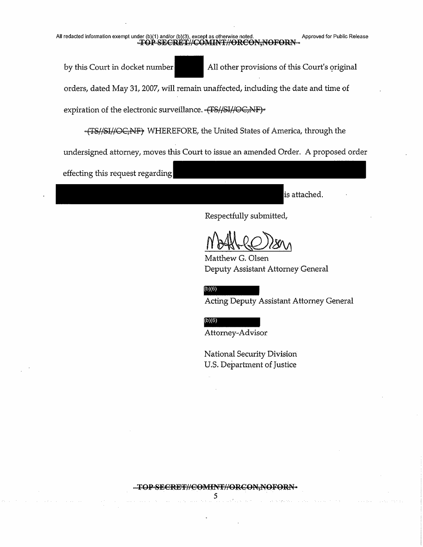# All redacted information exempt under (b)(1) and/or (b)(3), except as otherwise noted. Approved for Public Release<br> **Approved for Public Release**<br>
Approved for Public Release<br>
Approved for Public Release<br>
Approved for Publ

by this Court in docket number All other provisions of this Court's original orders, dated May 31,2007, will remain unaffected, including the date and time of expiration of the electronic surveillance. (TS//SI//OC,NF)-

WHEREFORE, the United States of America, through the undersigned attorney, moves this Court to issue an amended Order, A proposed order

effecting this request regarding

is attached.

Respectfully submitted,

Matthew G. Olsen Deputy Assistant Attorney General

 $(b)(6)$ 

Acting Deputy Assistant Attorney General

 $(b)(6)$ 

Attorney-Advisor

National Security Division U.S. Department of Justice

-TOP-SECRET//COMINT//ORCON;NOFORN-5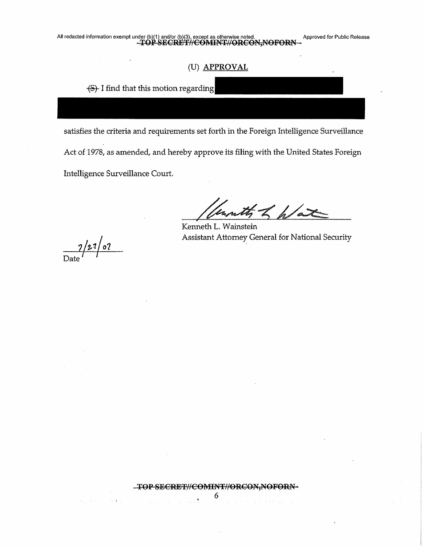### (U) **APPROVAL**

 $\left\{S\right\}$  I find that this motion regarding

satisfies the criteria and requirements set forth in the Foreign Intelligence Surveillance Act of *1978,* as amended, and hereby approve its filing with the United States Foreign Intelligence Surveillance Court.

unity of har

Kenneth L. Wainstein Assistant Attorney General for National Security

7/2-1/0?  $\frac{1}{\text{Data}}$ 

 $\sim$   $\,$   $\,$   $\,$   $\,$   $\,$   $\,$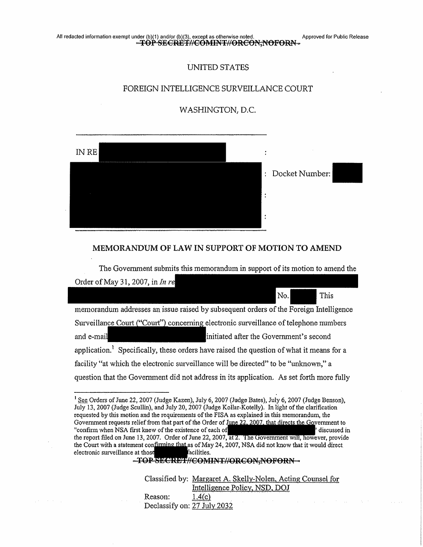# All redacted information exempt under (b)(1) and/or (b)(3), except as otherwise noted. Approved for Public Release

### UNITED STATES

#### FOREIGN INTELLIGENCE SURVEILLANCE COURT

#### WASHINGTON, D.C.



#### **MEMORANDUM OF LAW IN SUPPORT OF MOTION TO AMEND**

The Government submits this memorandum in support of its motion to amend the Order of May 31, 2007, in  $Inrel$ No. This memorandum addresses an issue raised by subsequent orders of the Foreign Intelligence

Surveillance Court ("Court") concerning electronic surveillance of telephone numbers and e-mail initiated after the Government's second application.<sup>1</sup> Specifically, these orders have raised the question of what it means for a facility "at which the electronic surveillance will be directed" to be "unknown," a question that the Government did not address in its application. As set forth more fully

-TOP-SECRET//COMINT//ORCON.NOFORN-

Classified by: Margaret A. Skelly-Nolen, Acting Counsel for Intelligence Policy, NSD, DOJ Reason:  $1.4(c)$ Declassify on: 27 July 2032

 $<sup>1</sup>$  See Orders of June 22, 2007 (Judge Kazen), July 6, 2007 (Judge Bates), July 6, 2007 (Judge Benson),</sup> July 13, 2007 (Judge Scullin), and July 20, 2007 (Judge Kollar-Kotelly). In light ofthe clarification requested by this motion and the requirements of the FISA as explained in this memorandum, the Government requests relief from that part of the Order of June 22, 2007, that directs the Government to "confirm when NSA first knew of the existence of each of "confirm" "confirm when NSA first knew of the existence of each of the report filed on June 13, 2007. Order of June 22, 2007, at 2. The Government will, however, provide the Court with a statement confirming that as of May 24, 2007, NSA did not know that it would direct electronic surveillance at thos acilities.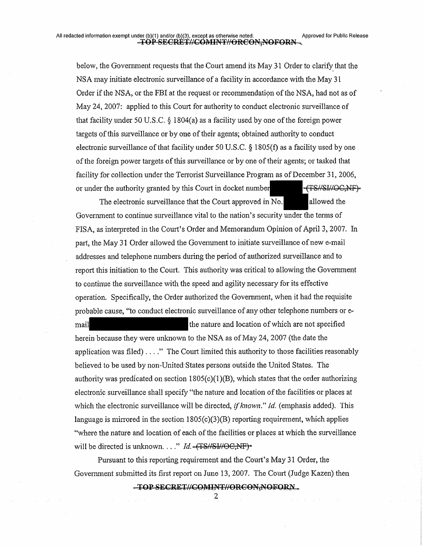below, the Government requests that the Court amend its May 31 Order to clarify that the NSA may initiate electronic surveillance of a facility in accordance with the May 31 Order if the NSA, or the FBI at the request or recommendation of the NSA, had not as of May 24, 2007: applied to this Court for authority to conduct electronic surveillance of that facility under 50 U.S.C.  $\S$  1804(a) as a facility used by one of the foreign power targets of this surveillance or by one of their agents; obtained authority to conduct electronic surveillance of that facility under 50 U.S.C.  $\S$  1805(f) as a facility used by one ofthe foreign power targets ofthis surveillance or by one oftheir agents; or tasked that facility for collection under the Terrorist Surveillance Program as of December 31, 2006, or under the authority granted by this Court in docket number^^^^H^^Z/SI/ZOG^NP^"

The electronic surveillance that the Court approved in No. allowed the Government to continue surveillance vital to the nation's security under the terms of FISA, as interpreted in the Court's Order and Memorandum Opinion of April 3, 2007. In part, the May 31 Order allowed the Government to initiate surveillance of new e-mail addresses and telephone numbers during the period of authorized surveillance and to report this initiation to the Court. This authority was critical to allowing the Government to continue the surveillance with the speed and agility necessary for its effective operation. Specifically, the Order authorized the Government, when it had the requisite probable cause, "to conduct electronic surveillance of any other telephone numbers or e-

mail and many interest the nature and location of which are not specified

herein because they were unknown to the NSA as of May 24, 2007 (the date the application was filed)... ." The Court limited this authority to those facilities reasonably believed to be used by non-United States persons outside the United States. The authority was predicated on section  $1805(c)(1)(B)$ , which states that the order authorizing electronic surveillance shall specify "the nature and location ofthe facilities or places at which the electronic surveiHance will be directed, *ifknown" Id.* (emphasis added). This language is mirrored in the section 1805(c)(3)(B) reporting requirement, which applies "where the nature and location of each of the facilities or places at which the surveillance will be directed is unknown...."  $Id. - (TS/NSWOC, NF)^*$ 

Pursuant to this reporting requirement and the Court's May 31 Order, the Government submitted its first report on June 13, 2007. The Court (Judge Kazen) then

-TOP-SECRET//COMINT//ORCON-NOFORN...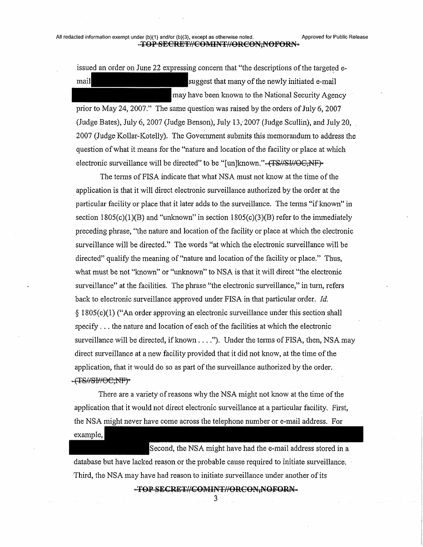issued an order on June 22 expressing concern that "the descriptions of the targeted email mail suggest that many of the newly initiated e-mail may have been known to the National Security Agency

prior to May 24, 2007." The same question was raised by the orders of July 6, 2007 (Judge Bates), July 6, 2007 (Judge Benson), July 13/2007 (Judge Scullin), and July 20, 2007 (Judge Kollar-Kotelly). The Government submits this memorandum to address the question of what it means for the "nature and location of the facility or place at which electronic surveillance will be directed" to be "[un]known."-(TS//SJ//OG;NF)-

The terms of FISA indicate that what NSA must not know at the time of the application is that it will direct electronic surveillance authorized by the order at the particular facility or place that it later adds to the surveillance. The terms "if known" in section  $1805(c)(1)(B)$  and "unknown" in section  $1805(c)(3)(B)$  refer to the immediately preceding phrase, "the nature and location ofthe facility or place at which the electronic surveillance will be directed." The words "at which the electronic surveillance will be directed" qualify the meaning of "nature and location of the facility or place." Thus, what must be not "known" or "unknown" to NSA is that it will direct "the electronic surveillance" at the facilities. The phrase "the electronic surveillance," in turn, refers back to electronic surveillance approved under FISA in that particular order. *Id.* § 1805(c)(1) ("An order approving an electronic surveillance under this section shall specify... the nature and location of each of the facilities at which the electronic surveillance will be directed, if known  $\dots$ "). Under the terms of FISA, then, NSA may direct surveillance at a new facility provided that it did not know, at the time of the application, that it would do so as part of the surveillance authorized by the order. ~{TS#SI#OC:NF}~

There are a variety of reasons why the NSA might not know at the time of the application that it would not direct electronic surveillance at a particular facility. First, the NSA might never have come across the telephone number or e-mail address. For example,

Second, the NSA might have had the e-mail address stored in a database but have lacked reason or the probable cause required to initiate surveillance. Third, the NSA may have had reason to initiate surveillance under another of its

-TOP-SECRET//COMINT//ORCON-NOFORN-

 $\mathfrak{Z}$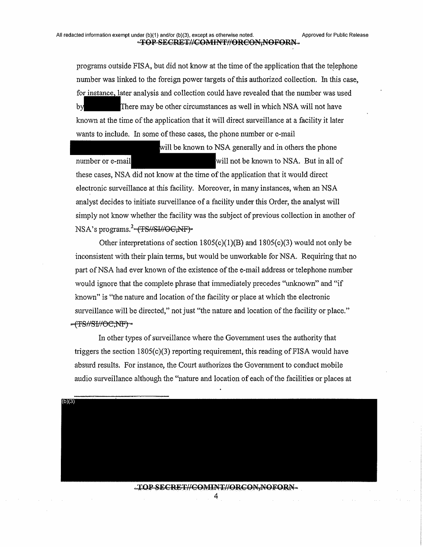programs outside FISA, but did not know at the time of the application that the telephone number was linked to the foreign power targets of this authorized collection. In this case, for instance, later analysis and collection could have revealed that the number was used by There may be other circumstances as well in which NSA will not have known at the time of the application that it will direct surveillance at a facility it later wants to include. In some of these cases, the phone number or e-mail

number or e-mail will be known to NSA generally and in others the phone will not be known to NSA. But in all of these cases, NSA did not know at the time of the application that it would direct electronic surveillance at this facility. Moreover, in many instances, when an NSA analyst decides to initiate surveillance of a facility under this Order, the analyst will simply not know whether the facility was the subject of previous collection in another of NSA's programs.<sup>2</sup> (TS//SI//OG-NF)<sup>\*</sup>

Other interpretations of section  $1805(c)(1)(B)$  and  $1805(c)(3)$  would not only be inconsistent with their plain terms, but would be unworkable for NSA. Requiring that no part of NSA had ever known of the existence of the e-mail address or telephone number would ignore that the complete phrase that immediately precedes "unknown" and "if known" is "the nature and location of the facility or place at which the electronic surveillance will be directed," not just "the nature and location of the facility or place." -(TS#SI#OC;NF)-

In other types of surveillance where the Government uses the authority that triggers the section  $1805(c)(3)$  reporting requirement, this reading of FISA would have absurd results. For instance, the Court authorizes the Government to conduct mobile audio surveillance although the "nature and location of each of the facilities or places at

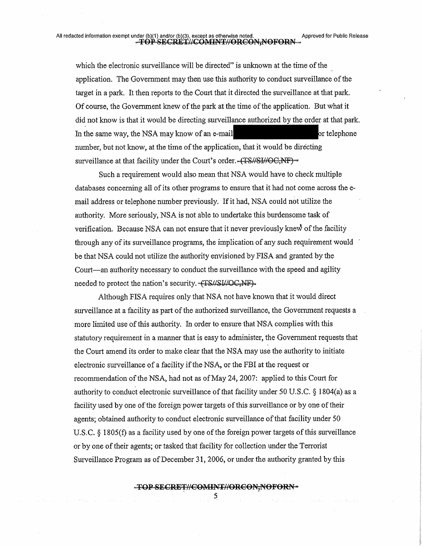# All redacted information exempt under (b)(1) and/or (b)(3), except as otherwise noted. Approved for Public Release<br>
FOP-SECRET//COMINT//ORCON,NOFORN

which the electronic surveillance will be directed" is unknown at the time of the application. The Government may then use this authority to conduct surveillance of the target in a park. It then reports to the Court that it directed the surveillance at that park. Of course, the Government knew of the park at the time of the application. But what it did not know is that it would be directing surveillance authorized by the order at that park. In the same way, the NSA may know of an e-mail  $\blacksquare$ number, but not know, at the time of the application, that it would be directing surveillance at that facility under the Court's order.-(TS//SI//OC,NF)-

Such a requirement would also mean that NSA would have to check multiple databases concerning all of its other programs to ensure that it had not come across the email address or telephone number previously. Ifit had, NSA could not utilize the authority. More seriously, NSA is not able to undertake this burdensome task of verification. Because NSA can not ensure that it never previously knew ofthe facility through any of its surveillance programs, the implication of any such requirement would be that NSA could not utilize the authority envisioned by FISA and granted by the Court—an authority necessary to conduct the surveillance with the speed and agility needed to protect the nation's security.  $\sqrt{TS\mu}S\mu\mu QC\gamma NF$ .

Although FISA requires only that NSA not have known that it would direct surveillance at a facility as part of the authorized surveillance, the Government requests a more limited use of this authority. In order to ensure that NSA complies with this statutory requirement in a manner that is easy to administer, the Government requests that the Court amend its order to make clear that the NSA may use the authority to initiate electronic surveillance of a facility if the NSA, or the FBI at the request or recommendation of the NSA, had not as of May 24, 2007: applied to this Court for authority to conduct electronic surveillance of that facility under 50 U.S.C.  $\S$  1804(a) as a facility used by one of the foreign power targets of this surveillance or by one of their agents; obtained authority to conduct electronic surveillance of that facility under 50 U.S.C.  $\S$  1805(f) as a facility used by one of the foreign power targets of this surveillance or by one oftheir agents; or tasked that facility for collection under the Terrorist Surveillance Program as of December 31, 2006, or under the authority granted by this

#### -TOP-SECRET//COMINT//ORCON.NOFORN-